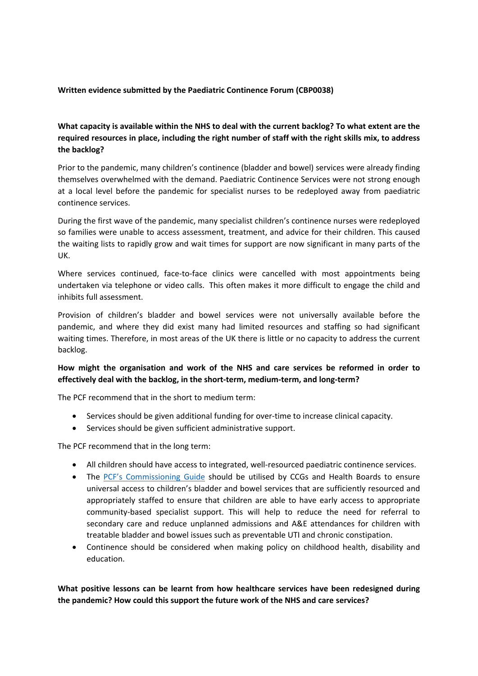#### **Written evidence submitted by the Paediatric Continence Forum (CBP0038)**

# **What capacity is available within the NHS to deal with the current backlog? To what extent are the required resources in place, including the right number of staff with the right skills mix, to address the backlog?**

Prior to the pandemic, many children's continence (bladder and bowel) services were already finding themselves overwhelmed with the demand. Paediatric Continence Services were not strong enough at a local level before the pandemic for specialist nurses to be redeployed away from paediatric continence services.

During the first wave of the pandemic, many specialist children's continence nurses were redeployed so families were unable to access assessment, treatment, and advice for their children. This caused the waiting lists to rapidly grow and wait times for support are now significant in many parts of the UK.

Where services continued, face-to-face clinics were cancelled with most appointments being undertaken via telephone or video calls. This often makes it more difficult to engage the child and inhibits full assessment.

Provision of children's bladder and bowel services were not universally available before the pandemic, and where they did exist many had limited resources and staffing so had significant waiting times. Therefore, in most areas of the UK there is little or no capacity to address the current backlog.

# **How might the organisation and work of the NHS and care services be reformed in order to effectively deal with the backlog, in the short-term, medium-term, and long-term?**

The PCF recommend that in the short to medium term:

- Services should be given additional funding for over-time to increase clinical capacity.
- Services should be given sufficient administrative support.

The PCF recommend that in the long term:

- All children should have access to integrated, well-resourced paediatric continence services.
- The [PCF's](http://www.paediatriccontinenceforum.org/wp-content/uploads/2019/12/PCF-Childrens-Continence-Commissioning-Guide-Dec-2019.pdf) [Commissioning](http://www.paediatriccontinenceforum.org/wp-content/uploads/2019/12/PCF-Childrens-Continence-Commissioning-Guide-Dec-2019.pdf) [Guide](http://www.paediatriccontinenceforum.org/wp-content/uploads/2019/12/PCF-Childrens-Continence-Commissioning-Guide-Dec-2019.pdf) should be utilised by CCGs and Health Boards to ensure universal access to children's bladder and bowel services that are sufficiently resourced and appropriately staffed to ensure that children are able to have early access to appropriate community-based specialist support. This will help to reduce the need for referral to secondary care and reduce unplanned admissions and A&E attendances for children with treatable bladder and bowel issues such as preventable UTI and chronic constipation.
- Continence should be considered when making policy on childhood health, disability and education.

## **What positive lessons can be learnt from how healthcare services have been redesigned during the pandemic? How could this support the future work of the NHS and care services?**